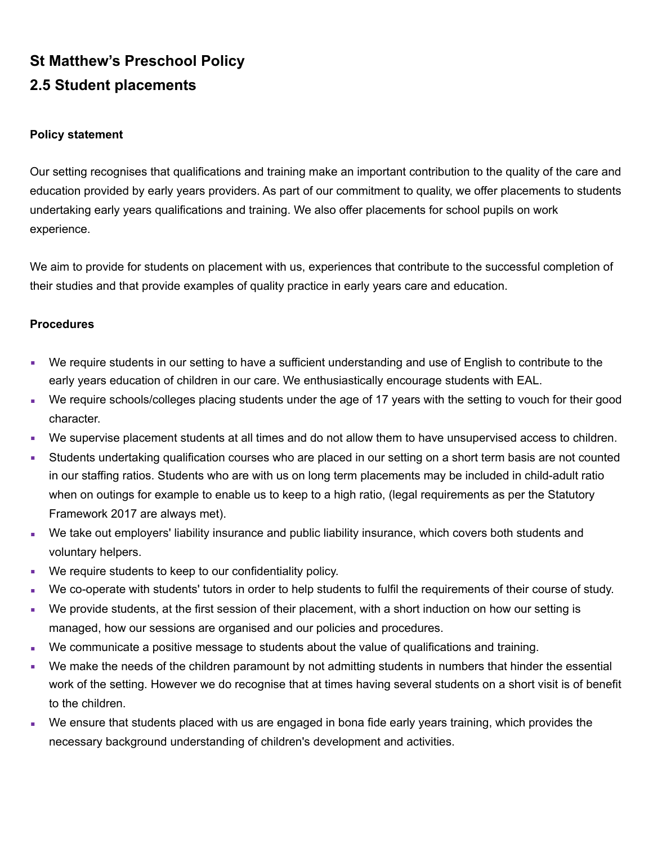## **St Matthew's Preschool Policy 2.5 Student placements**

## **Policy statement**

Our setting recognises that qualifications and training make an important contribution to the quality of the care and education provided by early years providers. As part of our commitment to quality, we offer placements to students undertaking early years qualifications and training. We also offer placements for school pupils on work experience.

We aim to provide for students on placement with us, experiences that contribute to the successful completion of their studies and that provide examples of quality practice in early years care and education.

## **Procedures**

- We require students in our setting to have a sufficient understanding and use of English to contribute to the early years education of children in our care. We enthusiastically encourage students with EAL.
- We require schools/colleges placing students under the age of 17 years with the setting to vouch for their good character.
- We supervise placement students at all times and do not allow them to have unsupervised access to children.
- Students undertaking qualification courses who are placed in our setting on a short term basis are not counted in our staffing ratios. Students who are with us on long term placements may be included in child-adult ratio when on outings for example to enable us to keep to a high ratio, (legal requirements as per the Statutory Framework 2017 are always met).
- **We take out employers' liability insurance and public liability insurance, which covers both students and** voluntary helpers.
- We require students to keep to our confidentiality policy.
- We co-operate with students' tutors in order to help students to fulfil the requirements of their course of study.
- We provide students, at the first session of their placement, with a short induction on how our setting is managed, how our sessions are organised and our policies and procedures.
- We communicate a positive message to students about the value of qualifications and training.
- We make the needs of the children paramount by not admitting students in numbers that hinder the essential work of the setting. However we do recognise that at times having several students on a short visit is of benefit to the children.
- We ensure that students placed with us are engaged in bona fide early years training, which provides the necessary background understanding of children's development and activities.